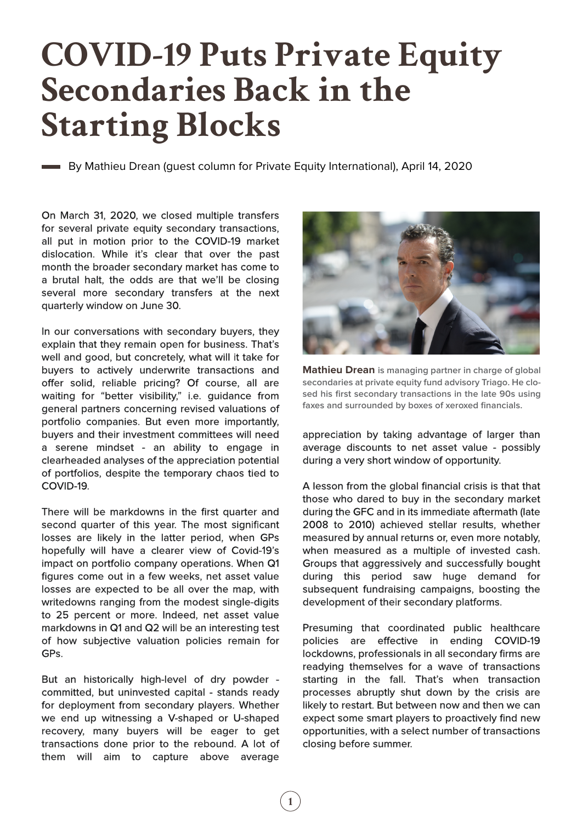## **COVID-19 Puts Private Equity Secondaries Back in the Starting Blocks**

By Mathieu Drean (guest column for Private Equity International), April 14, 2020

On March 31, 2020, we closed multiple transfers for several private equity secondary transactions, all put in motion prior to the COVID-19 market dislocation. While it's clear that over the past month the broader secondary market has come to a brutal halt, the odds are that we'll be closing several more secondary transfers at the next quarterly window on June 30.

In our conversations with secondary buyers, they explain that they remain open for business. That's well and good, but concretely, what will it take for buyers to actively underwrite transactions and offer solid, reliable pricing? Of course, all are waiting for "better visibility," i.e. guidance from general partners concerning revised valuations of portfolio companies. But even more importantly, buyers and their investment committees will need a serene mindset - an ability to engage in clearheaded analyses of the appreciation potential of portfolios, despite the temporary chaos tied to COVID-19.

There will be markdowns in the first quarter and second quarter of this year. The most significant losses are likely in the latter period, when GPs hopefully will have a clearer view of Covid-19's impact on portfolio company operations. When Q1 figures come out in a few weeks, net asset value losses are expected to be all over the map, with writedowns ranging from the modest single-digits to 25 percent or more. Indeed, net asset value markdowns in Q1 and Q2 will be an interesting test of how subjective valuation policies remain for GPs.

But an historically high-level of dry powder committed, but uninvested capital - stands ready for deployment from secondary players. Whether we end up witnessing a V-shaped or U-shaped recovery, many buyers will be eager to get transactions done prior to the rebound. A lot of them will aim to capture above average



**Mathieu Drean is managing partner in charge of global secondaries at private equity fund advisory Triago. He closed his first secondary transactions in the late 90s using faxes and surrounded by boxes of xeroxed financials.**

appreciation by taking advantage of larger than average discounts to net asset value - possibly during a very short window of opportunity.

A lesson from the global financial crisis is that that those who dared to buy in the secondary market during the GFC and in its immediate aftermath (late 2008 to 2010) achieved stellar results, whether measured by annual returns or, even more notably, when measured as a multiple of invested cash. Groups that aggressively and successfully bought during this period saw huge demand for subsequent fundraising campaigns, boosting the development of their secondary platforms.

Presuming that coordinated public healthcare policies are effective in ending COVID-19 lockdowns, professionals in all secondary firms are readying themselves for a wave of transactions starting in the fall. That's when transaction processes abruptly shut down by the crisis are likely to restart. But between now and then we can expect some smart players to proactively find new opportunities, with a select number of transactions closing before summer.